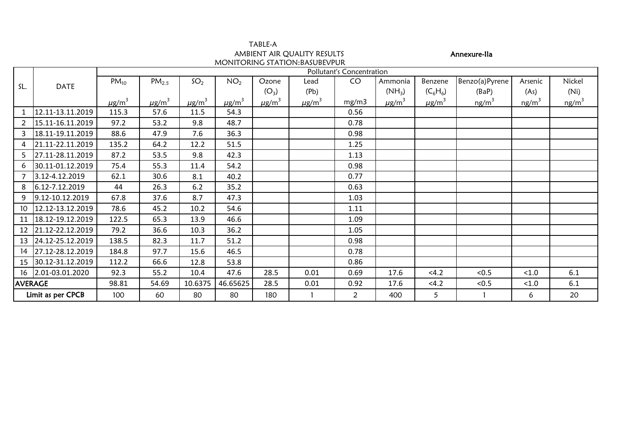|                   |                  |                        |                           |                        | AMBIENT AIR QUALITY RESULTS<br>MONITORING STATION: BASUBEVPUR |                        |                        |       |                        | Annexure-Ila           |                |                   |          |  |  |
|-------------------|------------------|------------------------|---------------------------|------------------------|---------------------------------------------------------------|------------------------|------------------------|-------|------------------------|------------------------|----------------|-------------------|----------|--|--|
|                   |                  |                        | Pollutant's Concentration |                        |                                                               |                        |                        |       |                        |                        |                |                   |          |  |  |
|                   |                  | $PM_{10}$              | PM <sub>2.5</sub>         | SO <sub>2</sub>        | NO <sub>2</sub>                                               | Ozone                  | Lead                   | CO    | Ammonia                | Benzene                | Benzo(a)Pyrene | Arsenic           | Nickel   |  |  |
| SL.               | <b>DATE</b>      |                        |                           |                        |                                                               | $(O_3)$                | (Pb)                   |       | $(NH_3)$               | $(C_6H_6)$             | (BaP)          | (As)              | (Ni)     |  |  |
|                   |                  | $\mu$ g/m <sup>3</sup> | $\mu$ g/m <sup>3</sup>    | $\mu$ g/m <sup>3</sup> | $\mu$ g/m <sup>3</sup>                                        | $\mu$ g/m <sup>3</sup> | $\mu$ g/m <sup>3</sup> | mg/m3 | $\mu$ g/m <sup>3</sup> | $\mu$ g/m <sup>3</sup> | $ng/m^3$       | ng/m <sup>3</sup> | $ng/m^3$ |  |  |
|                   | 12.11-13.11.2019 | 115.3                  | 57.6                      | 11.5                   | 54.3                                                          |                        |                        | 0.56  |                        |                        |                |                   |          |  |  |
| 2                 | 15.11-16.11.2019 | 97.2                   | 53.2                      | 9.8                    | 48.7                                                          |                        |                        | 0.78  |                        |                        |                |                   |          |  |  |
| 3                 | 18.11-19.11.2019 | 88.6                   | 47.9                      | 7.6                    | 36.3                                                          |                        |                        | 0.98  |                        |                        |                |                   |          |  |  |
| 4                 | 21.11-22.11.2019 | 135.2                  | 64.2                      | 12.2                   | 51.5                                                          |                        |                        | 1.25  |                        |                        |                |                   |          |  |  |
| 5                 | 27.11-28.11.2019 | 87.2                   | 53.5                      | 9.8                    | 42.3                                                          |                        |                        | 1.13  |                        |                        |                |                   |          |  |  |
| 6                 | 30.11-01.12.2019 | 75.4                   | 55.3                      | 11.4                   | 54.2                                                          |                        |                        | 0.98  |                        |                        |                |                   |          |  |  |
| $\overline{7}$    | 3.12-4.12.2019   | 62.1                   | 30.6                      | 8.1                    | 40.2                                                          |                        |                        | 0.77  |                        |                        |                |                   |          |  |  |
| 8                 | 6.12-7.12.2019   | 44                     | 26.3                      | 6.2                    | 35.2                                                          |                        |                        | 0.63  |                        |                        |                |                   |          |  |  |
| 9                 | 9.12-10.12.2019  | 67.8                   | 37.6                      | 8.7                    | 47.3                                                          |                        |                        | 1.03  |                        |                        |                |                   |          |  |  |
| 10                | 12.12-13.12.2019 | 78.6                   | 45.2                      | 10.2                   | 54.6                                                          |                        |                        | 1.11  |                        |                        |                |                   |          |  |  |
| 11                | 18.12-19.12.2019 | 122.5                  | 65.3                      | 13.9                   | 46.6                                                          |                        |                        | 1.09  |                        |                        |                |                   |          |  |  |
| 12                | 21.12-22.12.2019 | 79.2                   | 36.6                      | 10.3                   | 36.2                                                          |                        |                        | 1.05  |                        |                        |                |                   |          |  |  |
| 13                | 24.12-25.12.2019 | 138.5                  | 82.3                      | 11.7                   | 51.2                                                          |                        |                        | 0.98  |                        |                        |                |                   |          |  |  |
| 14                | 27.12-28.12.2019 | 184.8                  | 97.7                      | 15.6                   | 46.5                                                          |                        |                        | 0.78  |                        |                        |                |                   |          |  |  |
| 15                | 30.12-31.12.2019 | 112.2                  | 66.6                      | 12.8                   | 53.8                                                          |                        |                        | 0.86  |                        |                        |                |                   |          |  |  |
| 16                | 2.01-03.01.2020  | 92.3                   | 55.2                      | 10.4                   | 47.6                                                          | 28.5                   | 0.01                   | 0.69  | 17.6                   | < 4.2                  | < 0.5          | < 1.0             | 6.1      |  |  |
| <b>AVERAGE</b>    |                  | 98.81                  | 54.69                     | 10.6375                | 46.65625                                                      | 28.5                   | 0.01                   | 0.92  | 17.6                   | <4.2                   | < 0.5          | < 1.0             | 6.1      |  |  |
| Limit as per CPCB |                  | 100                    | 60                        | 80                     | 80                                                            | 180                    |                        | 2     | 400                    | 5                      | $\mathbf{1}$   | 6                 | 20       |  |  |

TABLE-A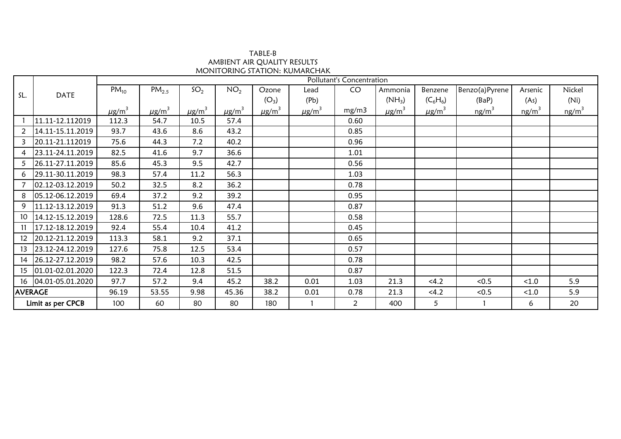AMBIENT AIR QUALITY RESULTS TABLE-B MONITORING STATION: KUMARCHAK

|                   |                     | Pollutant's Concentration |                        |                        |                        |                        |                        |       |                        |                        |                |                   |          |  |
|-------------------|---------------------|---------------------------|------------------------|------------------------|------------------------|------------------------|------------------------|-------|------------------------|------------------------|----------------|-------------------|----------|--|
| SL.               | <b>DATE</b>         | $PM_{10}$                 | $PM_{2.5}$             | SO <sub>2</sub>        | NO <sub>2</sub>        | Ozone                  | Lead                   | CO    | Ammonia                | Benzene                | Benzo(a)Pyrene | Arsenic           | Nickel   |  |
|                   |                     |                           |                        |                        |                        | $(O_3)$                | (Pb)                   |       | $(NH_3)$               | $(C_6H_6)$             | (BaP)          | (As)              | (Ni)     |  |
|                   |                     | $\mu$ g/m <sup>3</sup>    | $\mu$ g/m <sup>3</sup> | $\mu$ g/m <sup>3</sup> | $\mu$ g/m <sup>3</sup> | $\mu$ g/m <sup>3</sup> | $\mu$ g/m <sup>3</sup> | mg/m3 | $\mu$ g/m <sup>3</sup> | $\mu$ g/m <sup>3</sup> | $ng/m^3$       | ng/m <sup>3</sup> | $ng/m^3$ |  |
|                   | 11.11-12.112019     | 112.3                     | 54.7                   | 10.5                   | 57.4                   |                        |                        | 0.60  |                        |                        |                |                   |          |  |
| 2                 | 14.11-15.11.2019    | 93.7                      | 43.6                   | 8.6                    | 43.2                   |                        |                        | 0.85  |                        |                        |                |                   |          |  |
| $\overline{3}$    | 20.11-21.112019     | 75.6                      | 44.3                   | 7.2                    | 40.2                   |                        |                        | 0.96  |                        |                        |                |                   |          |  |
| 4                 | 23.11-24.11.2019    | 82.5                      | 41.6                   | 9.7                    | 36.6                   |                        |                        | 1.01  |                        |                        |                |                   |          |  |
| 5                 | 26.11-27.11.2019    | 85.6                      | 45.3                   | 9.5                    | 42.7                   |                        |                        | 0.56  |                        |                        |                |                   |          |  |
| 6                 | 29.11-30.11.2019    | 98.3                      | 57.4                   | 11.2                   | 56.3                   |                        |                        | 1.03  |                        |                        |                |                   |          |  |
| $\overline{7}$    | 02.12-03.12.2019    | 50.2                      | 32.5                   | 8.2                    | 36.2                   |                        |                        | 0.78  |                        |                        |                |                   |          |  |
| 8                 | 05.12-06.12.2019    | 69.4                      | 37.2                   | 9.2                    | 39.2                   |                        |                        | 0.95  |                        |                        |                |                   |          |  |
| 9                 | 11.12-13.12.2019    | 91.3                      | 51.2                   | 9.6                    | 47.4                   |                        |                        | 0.87  |                        |                        |                |                   |          |  |
| 10 <sup>°</sup>   | 14.12-15.12.2019    | 128.6                     | 72.5                   | 11.3                   | 55.7                   |                        |                        | 0.58  |                        |                        |                |                   |          |  |
| 11                | 17.12-18.12.2019    | 92.4                      | 55.4                   | 10.4                   | 41.2                   |                        |                        | 0.45  |                        |                        |                |                   |          |  |
| 12                | 20.12-21.12.2019    | 113.3                     | 58.1                   | 9.2                    | 37.1                   |                        |                        | 0.65  |                        |                        |                |                   |          |  |
| 13                | 23.12-24.12.2019    | 127.6                     | 75.8                   | 12.5                   | 53.4                   |                        |                        | 0.57  |                        |                        |                |                   |          |  |
| 14                | 26.12-27.12.2019    | 98.2                      | 57.6                   | 10.3                   | 42.5                   |                        |                        | 0.78  |                        |                        |                |                   |          |  |
| 15                | 01.01-02.01.2020    | 122.3                     | 72.4                   | 12.8                   | 51.5                   |                        |                        | 0.87  |                        |                        |                |                   |          |  |
|                   | 16 04.01-05.01.2020 | 97.7                      | 57.2                   | 9.4                    | 45.2                   | 38.2                   | 0.01                   | 1.03  | 21.3                   | <4.2                   | < 0.5          | < 1.0             | 5.9      |  |
| <b>AVERAGE</b>    |                     | 96.19                     | 53.55                  | 9.98                   | 45.36                  | 38.2                   | 0.01                   | 0.78  | 21.3                   | <4.2                   | < 0.5          | < 1.0             | 5.9      |  |
| Limit as per CPCB |                     | 100                       | 60                     | 80                     | 80                     | 180                    |                        | 2     | 400                    | 5                      |                | 6                 | 20       |  |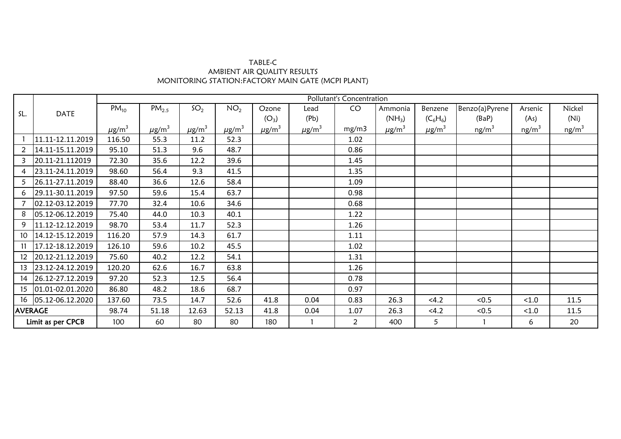| TABLE-C                                           |
|---------------------------------------------------|
| AMBIENT AIR OUALITY RESULTS                       |
| MONITORING STATION:FACTORY MAIN GATE (MCPI PLANT) |

|                   | <b>DATE</b>            | Pollutant's Concentration |                        |                        |                        |                        |                        |                |                        |                        |                |          |                   |  |
|-------------------|------------------------|---------------------------|------------------------|------------------------|------------------------|------------------------|------------------------|----------------|------------------------|------------------------|----------------|----------|-------------------|--|
| SL.               |                        | $PM_{10}$                 | PM <sub>2.5</sub>      | SO <sub>2</sub>        | NO <sub>2</sub>        | Ozone                  | Lead                   | CO             | Ammonia                | Benzene                | Benzo(a)Pyrene | Arsenic  | Nickel            |  |
|                   |                        |                           |                        |                        |                        | $(O_3)$                | (Pb)                   |                | $(NH_3)$               | $(C_6H_6)$             | (BaP)          | (As)     | (Ni)              |  |
|                   |                        | $\mu$ g/m <sup>3</sup>    | $\mu$ g/m <sup>3</sup> | $\mu$ g/m <sup>3</sup> | $\mu$ g/m <sup>3</sup> | $\mu$ g/m <sup>3</sup> | $\mu$ g/m <sup>3</sup> | mg/m3          | $\mu$ g/m <sup>3</sup> | $\mu$ g/m <sup>3</sup> | $ng/m^3$       | $ng/m^3$ | ng/m <sup>3</sup> |  |
|                   | 11.11-12.11.2019       | 116.50                    | 55.3                   | 11.2                   | 52.3                   |                        |                        | 1.02           |                        |                        |                |          |                   |  |
| $\overline{2}$    | 14.11-15.11.2019       | 95.10                     | 51.3                   | 9.6                    | 48.7                   |                        |                        | 0.86           |                        |                        |                |          |                   |  |
| 3 <sup>1</sup>    | 20.11-21.112019        | 72.30                     | 35.6                   | 12.2                   | 39.6                   |                        |                        | 1.45           |                        |                        |                |          |                   |  |
| 4                 | 23.11-24.11.2019       | 98.60                     | 56.4                   | 9.3                    | 41.5                   |                        |                        | 1.35           |                        |                        |                |          |                   |  |
| 5                 | 26.11-27.11.2019       | 88.40                     | 36.6                   | 12.6                   | 58.4                   |                        |                        | 1.09           |                        |                        |                |          |                   |  |
|                   | 6 29.11-30.11.2019     | 97.50                     | 59.6                   | 15.4                   | 63.7                   |                        |                        | 0.98           |                        |                        |                |          |                   |  |
|                   | 02.12-03.12.2019       | 77.70                     | 32.4                   | 10.6                   | 34.6                   |                        |                        | 0.68           |                        |                        |                |          |                   |  |
| 8                 | $ 05.12 - 06.12.2019 $ | 75.40                     | 44.0                   | 10.3                   | 40.1                   |                        |                        | 1.22           |                        |                        |                |          |                   |  |
| 9                 | 11.12-12.12.2019       | 98.70                     | 53.4                   | 11.7                   | 52.3                   |                        |                        | 1.26           |                        |                        |                |          |                   |  |
|                   | 10 14.12-15.12.2019    | 116.20                    | 57.9                   | 14.3                   | 61.7                   |                        |                        | 1.11           |                        |                        |                |          |                   |  |
|                   | 11 17.12-18.12.2019    | 126.10                    | 59.6                   | 10.2                   | 45.5                   |                        |                        | 1.02           |                        |                        |                |          |                   |  |
| 12 <sup>12</sup>  | 20.12-21.12.2019       | 75.60                     | 40.2                   | 12.2                   | 54.1                   |                        |                        | 1.31           |                        |                        |                |          |                   |  |
|                   | 13 23.12-24.12.2019    | 120.20                    | 62.6                   | 16.7                   | 63.8                   |                        |                        | 1.26           |                        |                        |                |          |                   |  |
|                   | 14 26.12-27.12.2019    | 97.20                     | 52.3                   | 12.5                   | 56.4                   |                        |                        | 0.78           |                        |                        |                |          |                   |  |
|                   | 15 01.01-02.01.2020    | 86.80                     | 48.2                   | 18.6                   | 68.7                   |                        |                        | 0.97           |                        |                        |                |          |                   |  |
|                   | 16 05.12-06.12.2020    | 137.60                    | 73.5                   | 14.7                   | 52.6                   | 41.8                   | 0.04                   | 0.83           | 26.3                   | < 4.2                  | < 0.5          | < 1.0    | 11.5              |  |
| <b>AVERAGE</b>    |                        | 98.74                     | 51.18                  | 12.63                  | 52.13                  | 41.8                   | 0.04                   | 1.07           | 26.3                   | < 4.2                  | < 0.5          | < 1.0    | 11.5              |  |
| Limit as per CPCB |                        | 100                       | 60                     | 80                     | 80                     | 180                    |                        | $\overline{2}$ | 400                    | 5                      |                | 6        | 20                |  |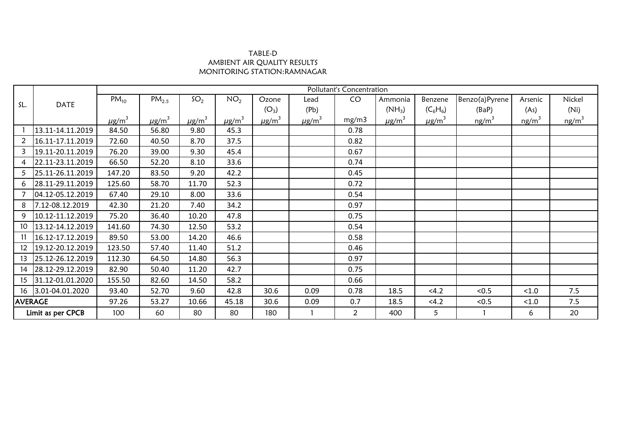## TABLE-D AMBIENT AIR QUALITY RESULTS MONITORING STATION:RAMNAGAR

|                   |                    | Pollutant's Concentration |                        |                        |                        |                        |                        |       |                        |                        |                   |                   |                   |
|-------------------|--------------------|---------------------------|------------------------|------------------------|------------------------|------------------------|------------------------|-------|------------------------|------------------------|-------------------|-------------------|-------------------|
| SL.               | <b>DATE</b>        | $PM_{10}$                 | $PM_{2.5}$             | SO <sub>2</sub>        | NO <sub>2</sub>        | Ozone                  | Lead                   | CO    | Ammonia                | Benzene                | Benzo(a)Pyrene    | Arsenic           | Nickel            |
|                   |                    |                           |                        |                        |                        | $(O_3)$                | (Pb)                   |       | $(NH_3)$               | $(C_6H_6)$             | (BaP)             | (As)              | (Ni)              |
|                   |                    | $\mu$ g/m <sup>3</sup>    | $\mu$ g/m <sup>3</sup> | $\mu$ g/m <sup>3</sup> | $\mu$ g/m <sup>3</sup> | $\mu$ g/m <sup>3</sup> | $\mu$ g/m <sup>3</sup> | mg/m3 | $\mu$ g/m <sup>3</sup> | $\mu$ g/m <sup>3</sup> | ng/m <sup>3</sup> | ng/m <sup>3</sup> | ng/m <sup>3</sup> |
|                   | 13.11-14.11.2019   | 84.50                     | 56.80                  | 9.80                   | 45.3                   |                        |                        | 0.78  |                        |                        |                   |                   |                   |
| $\overline{2}$    | 16.11-17.11.2019   | 72.60                     | 40.50                  | 8.70                   | 37.5                   |                        |                        | 0.82  |                        |                        |                   |                   |                   |
| 3                 | 19.11-20.11.2019   | 76.20                     | 39.00                  | 9.30                   | 45.4                   |                        |                        | 0.67  |                        |                        |                   |                   |                   |
| 4                 | 22.11-23.11.2019   | 66.50                     | 52.20                  | 8.10                   | 33.6                   |                        |                        | 0.74  |                        |                        |                   |                   |                   |
| 5                 | 25.11-26.11.2019   | 147.20                    | 83.50                  | 9.20                   | 42.2                   |                        |                        | 0.45  |                        |                        |                   |                   |                   |
| 6                 | 28.11-29.11.2019   | 125.60                    | 58.70                  | 11.70                  | 52.3                   |                        |                        | 0.72  |                        |                        |                   |                   |                   |
|                   | 04.12-05.12.2019   | 67.40                     | 29.10                  | 8.00                   | 33.6                   |                        |                        | 0.54  |                        |                        |                   |                   |                   |
| 8                 | 7.12-08.12.2019    | 42.30                     | 21.20                  | 7.40                   | 34.2                   |                        |                        | 0.97  |                        |                        |                   |                   |                   |
| 9                 | 10.12-11.12.2019   | 75.20                     | 36.40                  | 10.20                  | 47.8                   |                        |                        | 0.75  |                        |                        |                   |                   |                   |
| 10                | 13.12-14.12.2019   | 141.60                    | 74.30                  | 12.50                  | 53.2                   |                        |                        | 0.54  |                        |                        |                   |                   |                   |
| 11                | 16.12-17.12.2019   | 89.50                     | 53.00                  | 14.20                  | 46.6                   |                        |                        | 0.58  |                        |                        |                   |                   |                   |
| 12                | 19.12-20.12.2019   | 123.50                    | 57.40                  | 11.40                  | 51.2                   |                        |                        | 0.46  |                        |                        |                   |                   |                   |
| 13                | 25.12-26.12.2019   | 112.30                    | 64.50                  | 14.80                  | 56.3                   |                        |                        | 0.97  |                        |                        |                   |                   |                   |
| 14                | 28.12-29.12.2019   | 82.90                     | 50.40                  | 11.20                  | 42.7                   |                        |                        | 0.75  |                        |                        |                   |                   |                   |
| 15                | 31.12-01.01.2020   | 155.50                    | 82.60                  | 14.50                  | 58.2                   |                        |                        | 0.66  |                        |                        |                   |                   |                   |
|                   | 16 3.01-04.01.2020 | 93.40                     | 52.70                  | 9.60                   | 42.8                   | 30.6                   | 0.09                   | 0.78  | 18.5                   | <4.2                   | < 0.5             | < 1.0             | 7.5               |
| <b>AVERAGE</b>    |                    | 97.26                     | 53.27                  | 10.66                  | 45.18                  | 30.6                   | 0.09                   | 0.7   | 18.5                   | <4.2                   | < 0.5             | < 1.0             | 7.5               |
| Limit as per CPCB |                    | 100                       | 60                     | 80                     | 80                     | 180                    |                        | 2     | 400                    | 5                      |                   | 6                 | 20                |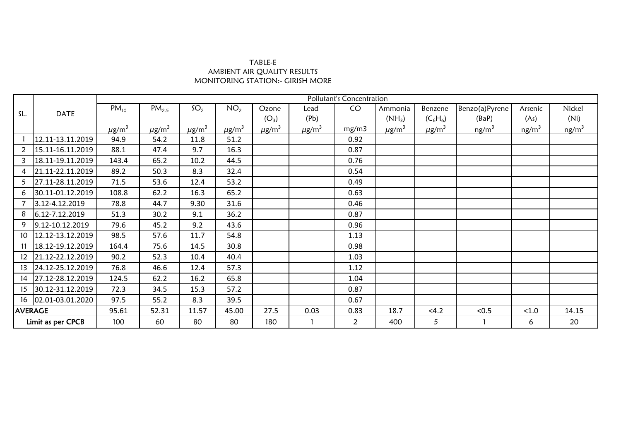## TABLE-E AMBIENT AIR QUALITY RESULTS MONITORING STATION:- GIRISH MORE

|                   | <b>DATE</b>         |                        | Pollutant's Concentration |                        |                        |                        |                        |       |                |                        |                   |          |                   |  |  |
|-------------------|---------------------|------------------------|---------------------------|------------------------|------------------------|------------------------|------------------------|-------|----------------|------------------------|-------------------|----------|-------------------|--|--|
| SL.               |                     | $PM_{10}$              | PM <sub>2.5</sub>         | SO <sub>2</sub>        | NO <sub>2</sub>        | Ozone                  | Lead                   | CO    | Ammonia        | Benzene                | Benzo(a)Pyrene    | Arsenic  | Nickel            |  |  |
|                   |                     |                        |                           |                        |                        | $(O_3)$                | (Pb)                   |       | $(NH_3)$       | $(C_6H_6)$             | (BaP)             | (As)     | (Ni)              |  |  |
|                   |                     | $\mu$ g/m <sup>3</sup> | $\mu$ g/m <sup>3</sup>    | $\mu$ g/m <sup>3</sup> | $\mu$ g/m <sup>3</sup> | $\mu$ g/m <sup>3</sup> | $\mu$ g/m <sup>3</sup> | mg/m3 | $\mu$ g/m $^3$ | $\mu$ g/m <sup>3</sup> | ng/m <sup>3</sup> | $ng/m^3$ | ng/m <sup>3</sup> |  |  |
|                   | 12.11-13.11.2019    | 94.9                   | 54.2                      | 11.8                   | 51.2                   |                        |                        | 0.92  |                |                        |                   |          |                   |  |  |
| $\overline{2}$    | 15.11-16.11.2019    | 88.1                   | 47.4                      | 9.7                    | 16.3                   |                        |                        | 0.87  |                |                        |                   |          |                   |  |  |
| $\mathbf{3}$      | 18.11-19.11.2019    | 143.4                  | 65.2                      | 10.2                   | 44.5                   |                        |                        | 0.76  |                |                        |                   |          |                   |  |  |
| $\overline{4}$    | 21.11-22.11.2019    | 89.2                   | 50.3                      | 8.3                    | 32.4                   |                        |                        | 0.54  |                |                        |                   |          |                   |  |  |
| 5                 | 27.11-28.11.2019    | 71.5                   | 53.6                      | 12.4                   | 53.2                   |                        |                        | 0.49  |                |                        |                   |          |                   |  |  |
| 6                 | 30.11-01.12.2019    | 108.8                  | 62.2                      | 16.3                   | 65.2                   |                        |                        | 0.63  |                |                        |                   |          |                   |  |  |
| $7^{\circ}$       | 3.12-4.12.2019      | 78.8                   | 44.7                      | 9.30                   | 31.6                   |                        |                        | 0.46  |                |                        |                   |          |                   |  |  |
| 8                 | 6.12-7.12.2019      | 51.3                   | 30.2                      | 9.1                    | 36.2                   |                        |                        | 0.87  |                |                        |                   |          |                   |  |  |
| 9                 | 9.12-10.12.2019     | 79.6                   | 45.2                      | 9.2                    | 43.6                   |                        |                        | 0.96  |                |                        |                   |          |                   |  |  |
| 10                | 12.12-13.12.2019    | 98.5                   | 57.6                      | 11.7                   | 54.8                   |                        |                        | 1.13  |                |                        |                   |          |                   |  |  |
| 11                | 18.12-19.12.2019    | 164.4                  | 75.6                      | 14.5                   | 30.8                   |                        |                        | 0.98  |                |                        |                   |          |                   |  |  |
| 12 <sup>°</sup>   | 21.12-22.12.2019    | 90.2                   | 52.3                      | 10.4                   | 40.4                   |                        |                        | 1.03  |                |                        |                   |          |                   |  |  |
| 13                | 24.12-25.12.2019    | 76.8                   | 46.6                      | 12.4                   | 57.3                   |                        |                        | 1.12  |                |                        |                   |          |                   |  |  |
| 14                | 27.12-28.12.2019    | 124.5                  | 62.2                      | 16.2                   | 65.8                   |                        |                        | 1.04  |                |                        |                   |          |                   |  |  |
| 15                | 30.12-31.12.2019    | 72.3                   | 34.5                      | 15.3                   | 57.2                   |                        |                        | 0.87  |                |                        |                   |          |                   |  |  |
|                   | 16 02.01-03.01.2020 | 97.5                   | 55.2                      | 8.3                    | 39.5                   |                        |                        | 0.67  |                |                        |                   |          |                   |  |  |
| <b>AVERAGE</b>    |                     | 95.61                  | 52.31                     | 11.57                  | 45.00                  | 27.5                   | 0.03                   | 0.83  | 18.7           | <4.2                   | < 0.5             | < 1.0    | 14.15             |  |  |
| Limit as per CPCB |                     | 100                    | 60                        | 80                     | 80                     | 180                    |                        | 2     | 400            | 5                      |                   | 6        | 20                |  |  |